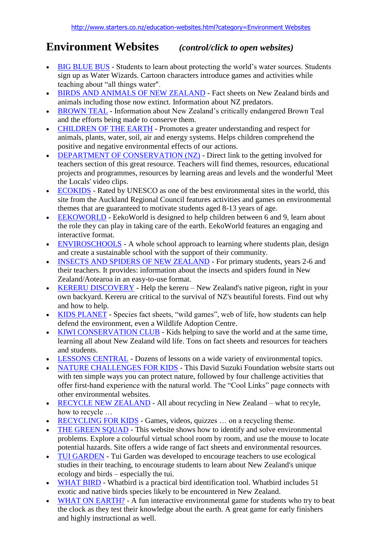## **Environment Websites** *(control/click to open websites)*

- [BIG BLUE BUS](http://www.dfo-mpo.gc.ca/canwaters-eauxcan/bbb-lgb/index_e.asp) Students to learn about protecting the world's water sources. Students sign up as Water Wizards. Cartoon characters introduce games and activities while teaching about "all things water".
- [BIRDS AND ANIMALS OF NEW ZEALAND](http://christchurchcitylibraries.com/kids/nzbirdsanimals) Fact sheets on New Zealand birds and animals including those now extinct. Information about NZ predators.
- [BROWN TEAL](http://www.brownteal.com/site/index.php) Information about New Zealand's critically endangered Brown Teal and the efforts being made to conserve them.
- [CHILDREN OF THE EARTH](http://www.childrenoftheearth.org/) Promotes a greater understanding and respect for animals, plants, water, soil, air and energy systems. Helps children comprehend the positive and negative environmental effects of our actions.
- [DEPARTMENT OF CONSERVATION \(NZ\)](http://www.doc.govt.nz/getting-involved/for-teachers/) Direct link to the getting involved for teachers section of this great resource. Teachers will find themes, resources, educational projects and programmes, resources by learning areas and levels and the wonderful 'Meet the Locals' video clips.
- [ECOKIDS](http://www.ecokids.co.nz/) Rated by UNESCO as one of the best environmental sites in the world, this site from the Auckland Regional Council features activities and games on environmental themes that are guaranteed to motivate students aged 8-13 years of age.
- [EEKOWORLD](http://pbskids.org/eekoworld/aboutew/index.html) EekoWorld is designed to help children between 6 and 9, learn about the role they can play in taking care of the earth. EekoWorld features an engaging and interactive format.
- [ENVIROSCHOOLS](http://www.ew.govt.nz/For-schools/Enviroschools/) A whole school approach to learning where students plan, design and create a sustainable school with the support of their community.
- [INSECTS AND SPIDERS OF NEW ZEALAND](http://www.dfo-mpo.gc.ca/canwhttp:/www.landcareresearch.co.nz/education/insects_spiders/) For primary students, years 2-6 and their teachers. It provides: information about the insects and spiders found in New Zealand/Aotearoa in an easy-to-use format.
- [KERERU DISCOVERY](http://www.kererudiscovery.org.nz/) Help the kereru New Zealand's native pigeon, right in your own backyard. Kereru are critical to the survival of NZ's beautiful forests. Find out why and how to help.
- [KIDS PLANET](http://www.kidsplanet.org/) Species fact sheets, "wild games", web of life, how students can help defend the environment, even a Wildlife Adoption Centre.
- [KIWI CONSERVATION](http://www.kcc.org.nz/) CLUB Kids helping to save the world and at the same time, learning all about New Zealand wild life. Tons on fact sheets and resources for teachers and students.
- [LESSONS CENTRAL](http://lessonplancentral.com/lessons/Science/Environment/index1.htm) Dozens of lessons on a wide variety of environmental topics.
- [NATURE CHALLENGES FOR KIDS](http://www.davidsuzuki.org/kids/) This David Suzuki Foundation website starts out with ten simple ways you can protect nature, followed by four challenge activities that offer first-hand experience with the natural world. The "Cool Links" page connects with other environmental websites.
- [RECYCLE NEW ZEALAND](http://www.recycle.co.nz/) All about recycling in New Zealand what to recyle, how to recycle …
- [RECYCLING FOR KIDS](http://www.sciencekids.co.nz/recycling.html) Games, videos, quizzes ... on a recycling theme.
- [THE GREEN SQUAD](http://www.nrdc.org/greensquad/) This website shows how to identify and solve environmental problems. Explore a colourful virtual school room by room, and use the mouse to locate potential hazards. Site offers a wide range of fact sheets and environmental resources.
- [TUI GARDEN](http://www.tuigarden.co.nz/) Tui Garden was developed to encourage teachers to use ecological studies in their teaching, to encourage students to learn about New Zealand's unique ecology and birds – especially the tui.
- [WHAT BIRD](http://www.whatbird.co.nz/) Whatbird is a practical bird identification tool. Whatbird includes 51 exotic and native birds species likely to be encountered in New Zealand.
- [WHAT ON EARTH?](http://gaia.hq.nasa.gov/quiz/quiz_start-template.cfm) A fun interactive environmental game for students who try to beat the clock as they test their knowledge about the earth. A great game for early finishers and highly instructional as well.